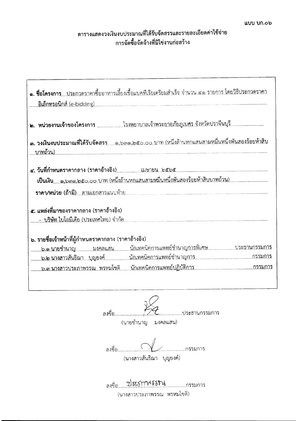## ตารางแสดงวงเงินงบประมาณที่ได้รับจัดสรรและรายละเอียดค่าใช้จ่าย การจัดซื้อจัดจ้างที่มิใช่งานก่อสร้าง

| <b>๑. ชื่อโครงการ</b> ประกวดราคาซื้ออาหารเลี้ยงเชื้อแบคทีเรียเตรียมสำเร็จ จำนวน ๔๑ รายการ โดยวิธีประกวดราคา                   |
|-------------------------------------------------------------------------------------------------------------------------------|
| <b>๒. หน่วยงานเจ้าของโครงการ</b> โรงพยาบาลเจ้าพระยาอภัยภูเบศร.จังหวัดปราจีนบุรี                                               |
| <b>๓. วงเงินงบประมาณที่ได้รับจัด</b> สรร <sub>ด,๖๓๑,๒๕๐,๐๐.บาท (หนึ่งล้านหกแสนสามหมื่นหนึ่งพันสองร้อยห้าสิบ</sub><br>บาทถ้วน) |
|                                                                                                                               |
| ๕. แหล่งที่มาของราคากลาง (ราคาอ้างอิง)                                                                                        |
| ๖. รายชื่อเจ้าหน้าที่ผู้กำหนดราคากลาง (ราคาอ้างอิง)<br>๖.๑.นายซำนาญมงคลแสนนักเทคนิคการแพทย์ชำนาญการพิเศษประธานกรรมการ         |

.................ประธานกรรมการ

(นายชำนาญ มงคลแสน)

ลงชื่อ................... ..........กรรมการ (นางสาวสันธิณา บุญยงค์)

(นางสาวประภาพรรณ พรหมโชติ)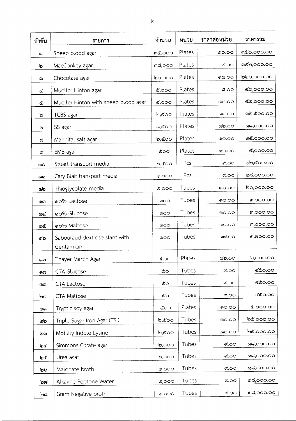| ลำดับ    | รายการ                                      | จำนวน                                       | หน่วย  | ราคาต่อหน่วย   | ราคารวม              |
|----------|---------------------------------------------|---------------------------------------------|--------|----------------|----------------------|
| <u>ඉ</u> | Sheep blood agar                            | <b>m</b> <i>c</i> ,000                      | Plates | ග <b>0.</b> 00 | <b>m</b> ๕o,ooo.oo   |
| ৩        | MacConkey agar                              | ៣๘,೦೦೦                                      | Plates | ๙.೦೦           | ៣๔๒,๐๐๐.๐๐           |
| m        | Chocolate agar                              | <b>bo,000</b>                               | Plates | ෧෧.෮෮          | ២២୦,୦୦୦.୦୦           |
| ¢        | Mueller Hinton agar                         | $\mathfrak{C},\circ\circ\circ$              | Plates | ಢ.೦೦           | <b>&amp;0,000.00</b> |
| ๕        | Mueller Hinton with sheep blood agar        | $\mathbf{C},\mathbf{O}\mathbf{O}\mathbf{O}$ | Plates | ளை.oo          | ೬ಿಲ,೦೦೦.೦೦           |
| ১        | TCBS agar                                   | $\mathfrak{G},\mathfrak{C}$ 00              | Plates | ளை.00          | m්ම,໕00.00           |
| cη       | SS agar                                     | <b>෧,๕</b> ෮෮                               | Plates | லெ.்           | <b>ೂಡ,೦೦೦.೦೦</b>     |
| ಡ        | Mannital salt agar                          | $\mathfrak{b},\mathfrak{c}$ 00              | Plates | ග <b>0.</b> 00 | ២๕,೦೦೦.೦೦            |
| ๙        | EMB agar                                    | ே                                           | Plates | ၈ဝ.ဝဝ          | \$,೦೦೦.೦೦            |
| ෙ        | Stuart transport media                      | $\mathfrak{b},\mathfrak{c}$ 00              | Pcs    | $\alpha$ .00   | ២២,๕๐๐.๐๐            |
| தை       | Cary Blair transport media                  | $\mathfrak{b},\circ\circ\circ$              | Pcs    | ಳ.೦೦           | ෧෬ඁ,෮෮෮.෮෮           |
| ෧෨       | Thioglycolate media                         | $\mathfrak{b},\circ\circ\circ$              | Tubes  | ၈ဝ.ဝဝ          | <b>២</b> ၀,၀၀၀.၀၀    |
| ளை       | oo% Lactose                                 | <b>ເ</b> ຕ                                  | Tubes  | ග <b>0.</b> 00 | <b>ຓ</b> ,໐໐໐.໐໐     |
| ଉ≪       | ை% Glucose                                  | ៣၀၀                                         | Tubes  | ၜဝ.ဝဝ          | <b>ຓ</b> ,໐໐໐.໐໐     |
| ෧๕       | ด <sub>O</sub> % Maltose                    | ၈ဝဝ                                         | Tubes  | ග <b>0.</b> 00 | <b>ຓ</b> ,໐໐໐.໐໐     |
| බධ       | Sabouraud dextrose slant with<br>Gentamicin | ၜဝဝ                                         | Tubes  | லை.00          | ෧,๗෮෮.෮෮             |
| ൈ        | Thayer Martin Agar                          | ද්ර                                         | Plates | මේ.00          | b,000.00             |
| ೧ದ       | <b>CTA Glucose</b>                          | ே                                           | Tubes  | $\alpha$ .೦೦   | <b>مؤده.00</b>       |
| ൈ        | <b>CTA Lactose</b>                          | ๕๐                                          | Tubes  | $\alpha$ .00   | ه\$0.00              |
| ಠಿಂ      | <b>CTA Maltose</b>                          | േ                                           | Tubes  | ๙.೦೦           | ೯೬೦.೦೦               |
| ෨        | Tryptic soy agar                            | ே                                           | Plates | ග0.00          | ๕,೦೦೦.೦೦             |
| სხ       | Triple Sugar Iron Agar (TSI)                | $\mathfrak{b},\mathfrak{c}$ 00              | Tubes  | ග <b>.</b> 00  | <b>ರಿ</b> ಂ೦೦.೦೦     |
| ໄອຕ      | Motility Indole Lysine                      | $\mathfrak{b},\mathfrak{c}$ 00              | Tubes  | ගෙ.ටට          | ២๕,೦೦೦.೦೦            |
| তিৰ      | Simmons Citrate agar                        | $\mathfrak{b},$ 000                         | Tubes  | ๙.೦೦           | ೂಡ,೦೦೦.೦೦            |
| ఠి       | Urea agar                                   | $\mathfrak{b},\circ\circ\circ$              | Tubes  | $\alpha$ .೦೦   | ೧ದ,೦೦೦.೦೦            |
| ৩৯       | Malonate broth                              | $\mathfrak{b},\circ\circ\circ$              | Tubes  | $\alpha$ .00   | ೧ದ,೦೦೦.೦೦            |
| อต       | Alkaline Peptone Water                      | $\mathfrak{b},$ ററ                          | Tubes  | ๙.೦೦           | ೂಡ,೦೦೦.೦೦            |
| ಠಿಡ      | Gram Negative broth                         | $\mathfrak{b},\circ\circ\circ$              | Tubes  | ದ.೦೦           | ೧ದ,೦೦೦.೦೦            |